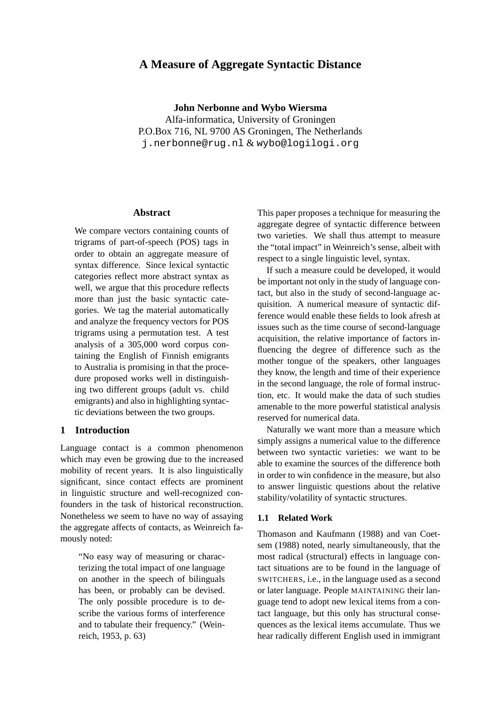# **A Measure of Aggregate Syntactic Distance**

**John Nerbonne and Wybo Wiersma** Alfa-informatica, University of Groningen P.O.Box 716, NL 9700 AS Groningen, The Netherlands j.nerbonne@rug.nl & wybo@logilogi.org

### **Abstract**

We compare vectors containing counts of trigrams of part-of-speech (POS) tags in order to obtain an aggregate measure of syntax difference. Since lexical syntactic categories reflect more abstract syntax as well, we argue that this procedure reflects more than just the basic syntactic categories. We tag the material automatically and analyze the frequency vectors for POS trigrams using a permutation test. A test analysis of a 305,000 word corpus containing the English of Finnish emigrants to Australia is promising in that the procedure proposed works well in distinguishing two different groups (adult vs. child emigrants) and also in highlighting syntactic deviations between the two groups.

## **1 Introduction**

Language contact is a common phenomenon which may even be growing due to the increased mobility of recent years. It is also linguistically significant, since contact effects are prominent in linguistic structure and well-recognized confounders in the task of historical reconstruction. Nonetheless we seem to have no way of assaying the aggregate affects of contacts, as Weinreich famously noted:

"No easy way of measuring or characterizing the total impact of one language on another in the speech of bilinguals has been, or probably can be devised. The only possible procedure is to describe the various forms of interference and to tabulate their frequency." (Weinreich, 1953, p. 63)

This paper proposes a technique for measuring the aggregate degree of syntactic difference between two varieties. We shall thus attempt to measure the "total impact" in Weinreich's sense, albeit with respect to a single linguistic level, syntax.

If such a measure could be developed, it would be important not only in the study of language contact, but also in the study of second-language acquisition. A numerical measure of syntactic difference would enable these fields to look afresh at issues such as the time course of second-language acquisition, the relative importance of factors influencing the degree of difference such as the mother tongue of the speakers, other languages they know, the length and time of their experience in the second language, the role of formal instruction, etc. It would make the data of such studies amenable to the more powerful statistical analysis reserved for numerical data.

Naturally we want more than a measure which simply assigns a numerical value to the difference between two syntactic varieties: we want to be able to examine the sources of the difference both in order to win confidence in the measure, but also to answer linguistic questions about the relative stability/volatility of syntactic structures.

### **1.1 Related Work**

Thomason and Kaufmann (1988) and van Coetsem (1988) noted, nearly simultaneously, that the most radical (structural) effects in language contact situations are to be found in the language of SWITCHERS, i.e., in the language used as a second or later language. People MAINTAINING their language tend to adopt new lexical items from a contact language, but this only has structural consequences as the lexical items accumulate. Thus we hear radically different English used in immigrant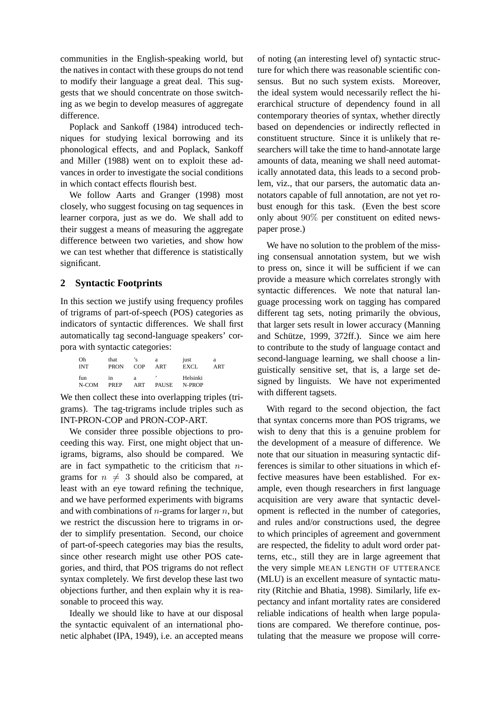communities in the English-speaking world, but the natives in contact with these groups do not tend to modify their language a great deal. This suggests that we should concentrate on those switching as we begin to develop measures of aggregate difference.

Poplack and Sankoff (1984) introduced techniques for studying lexical borrowing and its phonological effects, and and Poplack, Sankoff and Miller (1988) went on to exploit these advances in order to investigate the social conditions in which contact effects flourish best.

We follow Aarts and Granger (1998) most closely, who suggest focusing on tag sequences in learner corpora, just as we do. We shall add to their suggest a means of measuring the aggregate difference between two varieties, and show how we can test whether that difference is statistically significant.

# **2 Syntactic Footprints**

In this section we justify using frequency profiles of trigrams of part-of-speech (POS) categories as indicators of syntactic differences. We shall first automatically tag second-language speakers' corpora with syntactic categories:

| Oh         | that        | 'с   | a            | just     | a   |
|------------|-------------|------|--------------|----------|-----|
| <b>INT</b> | <b>PRON</b> | COP  | ART          | EXCL     | ART |
| fun        | 1n          | a    | ,            | Helsinki |     |
| N-COM      | PREP        | A RT | <b>PAUSE</b> | N-PROP   |     |

We then collect these into overlapping triples (trigrams). The tag-trigrams include triples such as INT-PRON-COP and PRON-COP-ART.

We consider three possible objections to proceeding this way. First, one might object that unigrams, bigrams, also should be compared. We are in fact sympathetic to the criticism that  $n$ grams for  $n \neq 3$  should also be compared, at least with an eye toward refining the technique, and we have performed experiments with bigrams and with combinations of  $n$ -grams for larger  $n$ , but we restrict the discussion here to trigrams in order to simplify presentation. Second, our choice of part-of-speech categories may bias the results, since other research might use other POS categories, and third, that POS trigrams do not reflect syntax completely. We first develop these last two objections further, and then explain why it is reasonable to proceed this way.

Ideally we should like to have at our disposal the syntactic equivalent of an international phonetic alphabet (IPA, 1949), i.e. an accepted means

of noting (an interesting level of) syntactic structure for which there was reasonable scientific consensus. But no such system exists. Moreover, the ideal system would necessarily reflect the hierarchical structure of dependency found in all contemporary theories of syntax, whether directly based on dependencies or indirectly reflected in constituent structure. Since it is unlikely that researchers will take the time to hand-annotate large amounts of data, meaning we shall need automatically annotated data, this leads to a second problem, viz., that our parsers, the automatic data annotators capable of full annotation, are not yet robust enough for this task. (Even the best score only about 90% per constituent on edited newspaper prose.)

We have no solution to the problem of the missing consensual annotation system, but we wish to press on, since it will be sufficient if we can provide a measure which correlates strongly with syntactic differences. We note that natural language processing work on tagging has compared different tag sets, noting primarily the obvious, that larger sets result in lower accuracy (Manning and Schütze, 1999,  $372ff$ .). Since we aim here to contribute to the study of language contact and second-language learning, we shall choose a linguistically sensitive set, that is, a large set designed by linguists. We have not experimented with different tagsets.

With regard to the second objection, the fact that syntax concerns more than POS trigrams, we wish to deny that this is a genuine problem for the development of a measure of difference. We note that our situation in measuring syntactic differences is similar to other situations in which effective measures have been established. For example, even though researchers in first language acquisition are very aware that syntactic development is reflected in the number of categories, and rules and/or constructions used, the degree to which principles of agreement and government are respected, the fidelity to adult word order patterns, etc., still they are in large agreement that the very simple MEAN LENGTH OF UTTERANCE (MLU) is an excellent measure of syntactic maturity (Ritchie and Bhatia, 1998). Similarly, life expectancy and infant mortality rates are considered reliable indications of health when large populations are compared. We therefore continue, postulating that the measure we propose will corre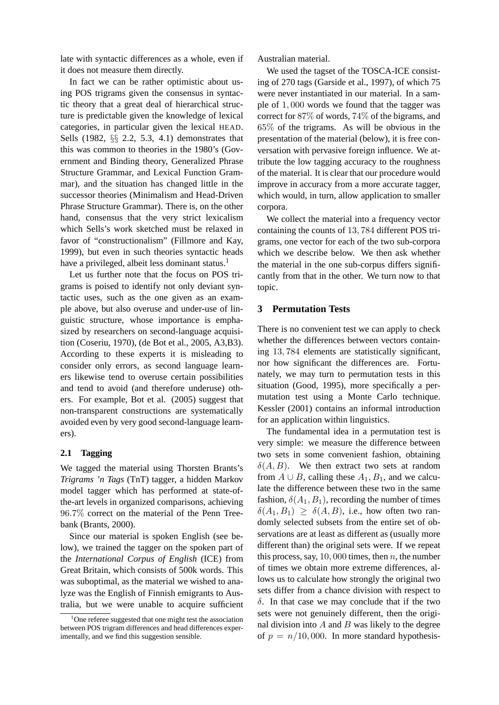late with syntactic differences as a whole, even if it does not measure them directly.

In fact we can be rather optimistic about using POS trigrams given the consensus in syntactic theory that a great deal of hierarchical structure is predictable given the knowledge of lexical categories, in particular given the lexical HEAD. Sells (1982, §§ 2.2, 5.3, 4.1) demonstrates that this was common to theories in the 1980's (Government and Binding theory, Generalized Phrase Structure Grammar, and Lexical Function Grammar), and the situation has changed little in the successor theories (Minimalism and Head-Driven Phrase Structure Grammar). There is, on the other hand, consensus that the very strict lexicalism which Sells's work sketched must be relaxed in favor of "constructionalism" (Fillmore and Kay, 1999), but even in such theories syntactic heads have a privileged, albeit less dominant status.<sup>1</sup>

Let us further note that the focus on POS trigrams is poised to identify not only deviant syntactic uses, such as the one given as an example above, but also overuse and under-use of linguistic structure, whose importance is emphasized by researchers on second-language acquisition (Coseriu, 1970), (de Bot et al., 2005, A3,B3). According to these experts it is misleading to consider only errors, as second language learners likewise tend to overuse certain possibilities and tend to avoid (and therefore underuse) others. For example, Bot et al. (2005) suggest that non-transparent constructions are systematically avoided even by very good second-language learners).

### **2.1 Tagging**

We tagged the material using Thorsten Brants's *Trigrams 'n Tags* (TnT) tagger, a hidden Markov model tagger which has performed at state-ofthe-art levels in organized comparisons, achieving 96.7% correct on the material of the Penn Treebank (Brants, 2000).

Since our material is spoken English (see below), we trained the tagger on the spoken part of the *International Corpus of English* (ICE) from Great Britain, which consists of 500k words. This was suboptimal, as the material we wished to analyze was the English of Finnish emigrants to Australia, but we were unable to acquire sufficient Australian material.

We used the tagset of the TOSCA-ICE consisting of 270 tags (Garside et al., 1997), of which 75 were never instantiated in our material. In a sample of 1, 000 words we found that the tagger was correct for 87% of words, 74% of the bigrams, and 65% of the trigrams. As will be obvious in the presentation of the material (below), it is free conversation with pervasive foreign influence. We attribute the low tagging accuracy to the roughness of the material. It is clear that our procedure would improve in accuracy from a more accurate tagger, which would, in turn, allow application to smaller corpora.

We collect the material into a frequency vector containing the counts of 13, 784 different POS trigrams, one vector for each of the two sub-corpora which we describe below. We then ask whether the material in the one sub-corpus differs significantly from that in the other. We turn now to that topic.

### **3 Permutation Tests**

There is no convenient test we can apply to check whether the differences between vectors containing 13, 784 elements are statistically significant, nor how significant the differences are. Fortunately, we may turn to permutation tests in this situation (Good, 1995), more specifically a permutation test using a Monte Carlo technique. Kessler (2001) contains an informal introduction for an application within linguistics.

The fundamental idea in a permutation test is very simple: we measure the difference between two sets in some convenient fashion, obtaining  $\delta(A, B)$ . We then extract two sets at random from  $A \cup B$ , calling these  $A_1, B_1$ , and we calculate the difference between these two in the same fashion,  $\delta(A_1, B_1)$ , recording the number of times  $\delta(A_1, B_1) \geq \delta(A, B)$ , i.e., how often two randomly selected subsets from the entire set of observations are at least as different as (usually more different than) the original sets were. If we repeat this process, say, 10, 000 times, then n, the number of times we obtain more extreme differences, allows us to calculate how strongly the original two sets differ from a chance division with respect to δ. In that case we may conclude that if the two sets were not genuinely different, then the original division into  $A$  and  $B$  was likely to the degree of  $p = n/10,000$ . In more standard hypothesis-

 $1$ One referee suggested that one might test the association between POS trigram differences and head differences experimentally, and we find this suggestion sensible.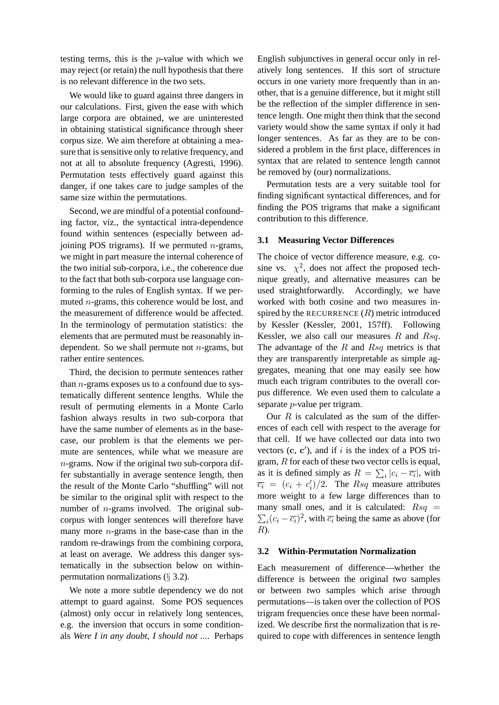testing terms, this is the p-value with which we may reject (or retain) the null hypothesis that there is no relevant difference in the two sets.

We would like to guard against three dangers in our calculations. First, given the ease with which large corpora are obtained, we are uninterested in obtaining statistical significance through sheer corpus size. We aim therefore at obtaining a measure that is sensitive only to relative frequency, and not at all to absolute frequency (Agresti, 1996). Permutation tests effectively guard against this danger, if one takes care to judge samples of the same size within the permutations.

Second, we are mindful of a potential confounding factor, viz., the syntactical intra-dependence found within sentences (especially between adjoining POS trigrams). If we permuted  $n$ -grams, we might in part measure the internal coherence of the two initial sub-corpora, i.e., the coherence due to the fact that both sub-corpora use language conforming to the rules of English syntax. If we permuted n-grams, this coherence would be lost, and the measurement of difference would be affected. In the terminology of permutation statistics: the elements that are permuted must be reasonably independent. So we shall permute not  $n$ -grams, but rather entire sentences.

Third, the decision to permute sentences rather than  $n$ -grams exposes us to a confound due to systematically different sentence lengths. While the result of permuting elements in a Monte Carlo fashion always results in two sub-corpora that have the same number of elements as in the basecase, our problem is that the elements we permute are sentences, while what we measure are n-grams. Now if the original two sub-corpora differ substantially in average sentence length, then the result of the Monte Carlo "shuffling" will not be similar to the original split with respect to the number of *n*-grams involved. The original subcorpus with longer sentences will therefore have many more  $n$ -grams in the base-case than in the random re-drawings from the combining corpora, at least on average. We address this danger systematically in the subsection below on withinpermutation normalizations  $(\S 3.2)$ .

We note a more subtle dependency we do not attempt to guard against. Some POS sequences (almost) only occur in relatively long sentences, e.g. the inversion that occurs in some conditionals *Were I in any doubt, I should not ...*. Perhaps

English subjunctives in general occur only in relatively long sentences. If this sort of structure occurs in one variety more frequently than in another, that is a genuine difference, but it might still be the reflection of the simpler difference in sentence length. One might then think that the second variety would show the same syntax if only it had longer sentences. As far as they are to be considered a problem in the first place, differences in syntax that are related to sentence length cannot be removed by (our) normalizations.

Permutation tests are a very suitable tool for finding significant syntactical differences, and for finding the POS trigrams that make a significant contribution to this difference.

### **3.1 Measuring Vector Differences**

The choice of vector difference measure, e.g. cosine vs.  $\chi^2$ , does not affect the proposed technique greatly, and alternative measures can be used straightforwardly. Accordingly, we have worked with both cosine and two measures inspired by the RECURRENCE  $(R)$  metric introduced by Kessler (Kessler, 2001, 157ff). Following Kessler, we also call our measures  $R$  and  $Rsq$ . The advantage of the  $R$  and  $Rsq$  metrics is that they are transparently interpretable as simple aggregates, meaning that one may easily see how much each trigram contributes to the overall corpus difference. We even used them to calculate a separate p-value per trigram.

Our  $R$  is calculated as the sum of the differences of each cell with respect to the average for that cell. If we have collected our data into two vectors  $(c, c')$ , and if i is the index of a POS trigram, R for each of these two vector cells is equal, as it is defined simply as  $R = \sum_i |c_i - \overline{c_i}|$ , with  $\overline{c_i} = (c_i + c'_i)$  $\langle i/2$ . The *Rsq* measure attributes more weight to a few large differences than to many small ones, and it is calculated:  $Rsq =$  $\sum_i (c_i - \overline{c_i})^2$ , with  $\overline{c_i}$  being the same as above (for R).

#### **3.2 Within-Permutation Normalization**

Each measurement of difference—whether the difference is between the original two samples or between two samples which arise through permutations—is taken over the collection of POS trigram frequencies once these have been normalized. We describe first the normalization that is required to cope with differences in sentence length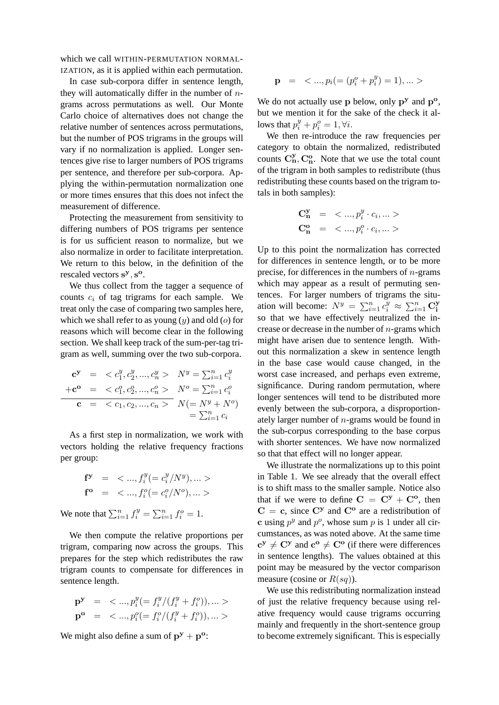which we call WITHIN-PERMUTATION NORMAL-IZATION, as it is applied within each permutation.

In case sub-corpora differ in sentence length, they will automatically differ in the number of  $n$ grams across permutations as well. Our Monte Carlo choice of alternatives does not change the relative number of sentences across permutations, but the number of POS trigrams in the groups will vary if no normalization is applied. Longer sentences give rise to larger numbers of POS trigrams per sentence, and therefore per sub-corpora. Applying the within-permutation normalization one or more times ensures that this does not infect the measurement of difference.

Protecting the measurement from sensitivity to differing numbers of POS trigrams per sentence is for us sufficient reason to normalize, but we also normalize in order to facilitate interpretation. We return to this below, in the definition of the rescaled vectors s<sup>y</sup>, s<sup>o</sup>.

We thus collect from the tagger a sequence of counts  $c_i$  of tag trigrams for each sample. We treat only the case of comparing two samples here, which we shall refer to as young  $(y)$  and old  $(o)$  for reasons which will become clear in the following section. We shall keep track of the sum-per-tag trigram as well, summing over the two sub-corpora.

$$
\begin{array}{rcl}\n\mathbf{c}^{\mathbf{y}} & = & < c_1^y, c_2^y, \dots, c_n^y > & N^y = \sum_{i=1}^n c_i^y \\
+ \mathbf{c}^{\mathbf{o}} & = & < c_1^o, c_2^o, \dots, c_n^o > & N^o = \sum_{i=1}^n c_i^o \\
\mathbf{c} & = & < c_1, c_2, \dots, c_n > & N (= N^y + N^o) \\
& = & \sum_{i=1}^n c_i\n\end{array}
$$

As a first step in normalization, we work with vectors holding the relative frequency fractions per group:

$$
\begin{array}{rcl}\n\mathbf{f}^{\mathbf{y}} & = < \ldots, f_i^y (= c_i^y / N^y), \ldots > \\
\mathbf{f}^{\mathbf{o}} & = < \ldots, f_i^o (= c_i^o / N^o), \ldots > \n\end{array}
$$

We note that  $\sum_{i=1}^{n} f_i^y = \sum_{i=1}^{n} f_i^o = 1$ .

We then compute the relative proportions per trigram, comparing now across the groups. This prepares for the step which redistributes the raw trigram counts to compensate for differences in sentence length.

$$
\mathbf{p}^{\mathbf{y}} = \langle ..., p_i^y (= f_i^y/(f_i^y + f_i^o)), ... \rangle
$$
  

$$
\mathbf{p}^{\mathbf{o}} = \langle ..., p_i^o (= f_i^o/(f_i^y + f_i^o)), ... \rangle
$$

We might also define a sum of  $\mathbf{p}^{\mathbf{y}} + \mathbf{p}^{\mathbf{o}}$ :

$$
\mathbf{p} = \langle ..., p_i (=(p_i^o + p_i^y) = 1), ... \rangle
$$

We do not actually use  $p$  below, only  $p^y$  and  $p^o$ , but we mention it for the sake of the check it allows that  $p_i^y + p_i^o = 1, \forall i$ .

We then re-introduce the raw frequencies per category to obtain the normalized, redistributed counts  $\mathbf{C}_{\mathbf{n}}^{y}$ ,  $\mathbf{C}_{\mathbf{n}}^{o}$ . Note that we use the total count of the trigram in both samples to redistribute (thus redistributing these counts based on the trigram totals in both samples):

$$
\begin{array}{rcl} {\bf C^y_n} & = & <... , p_i^y \cdot c_i,...> \\ {\bf C^o_n} & = & <... , p_i^o \cdot c_i,...> \end{array}
$$

Up to this point the normalization has corrected for differences in sentence length, or to be more precise, for differences in the numbers of  $n$ -grams which may appear as a result of permuting sentences. For larger numbers of trigrams the situation will become:  $N^y = \sum_{i=1}^n c_i^y \approx \sum_{i=1}^n \mathbf{C}_i^y$ i so that we have effectively neutralized the increase or decrease in the number of  $n$ -grams which might have arisen due to sentence length. Without this normalization a skew in sentence length in the base case would cause changed, in the worst case increased, and perhaps even extreme, significance. During random permutation, where longer sentences will tend to be distributed more evenly between the sub-corpora, a disproportionately larger number of n-grams would be found in the sub-corpus corresponding to the base corpus with shorter sentences. We have now normalized so that that effect will no longer appear.

We illustrate the normalizations up to this point in Table 1. We see already that the overall effect is to shift mass to the smaller sample. Notice also that if we were to define  $C = C^{y} + C^{o}$ , then  $C = c$ , since  $C<sup>y</sup>$  and  $C<sup>o</sup>$  are a redistribution of c using  $p^y$  and  $p^o$ , whose sum p is 1 under all circumstances, as was noted above. At the same time  $c^y \neq C^y$  and  $c^o \neq C^o$  (if there were differences in sentence lengths). The values obtained at this point may be measured by the vector comparison measure (cosine or  $R(sq)$ ).

We use this redistributing normalization instead of just the relative frequency because using relative frequency would cause trigrams occurring mainly and frequently in the short-sentence group to become extremely significant. This is especially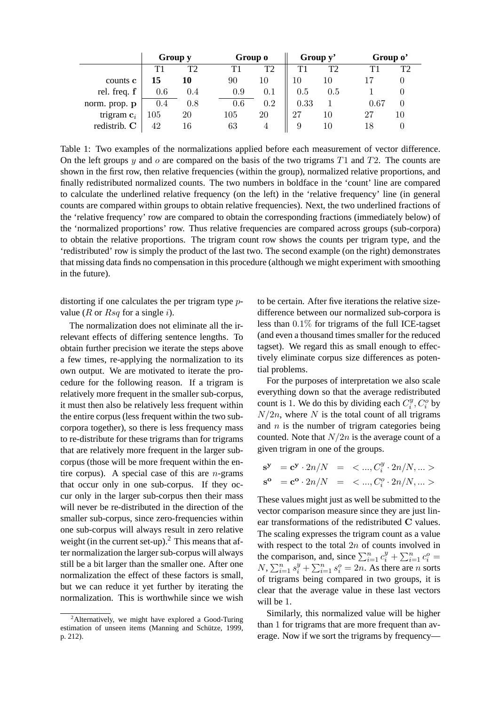|               | Group y |     | Group o |                | Group y' |     |          | Group o' |  |
|---------------|---------|-----|---------|----------------|----------|-----|----------|----------|--|
|               | T1      | T2  | T1      | T <sub>2</sub> | T1       | T2  | T1       |          |  |
| counts c      | 15      | 10  | 90      | 10             | 10       |     |          |          |  |
| rel. freq. f  | 0.6     | 0.4 | 0.9     | 0.1            | 0.5      | J.5 |          |          |  |
| norm. prop. p | 0.4     | 0.8 | 0.6     | 0.2            | 0.33     |     | $0.67\,$ |          |  |
| trigram $c_i$ | 105     | 20  | 105     | 20             | 27       | 10  | 27       | 10       |  |
| redistrib. C  | 42      | 16  | 63      |                | 9        | 10  |          |          |  |

Table 1: Two examples of the normalizations applied before each measurement of vector difference. On the left groups y and o are compared on the basis of the two trigrams  $T1$  and  $T2$ . The counts are shown in the first row, then relative frequencies (within the group), normalized relative proportions, and finally redistributed normalized counts. The two numbers in boldface in the 'count' line are compared to calculate the underlined relative frequency (on the left) in the 'relative frequency' line (in general counts are compared within groups to obtain relative frequencies). Next, the two underlined fractions of the 'relative frequency' row are compared to obtain the corresponding fractions (immediately below) of the 'normalized proportions' row. Thus relative frequencies are compared across groups (sub-corpora) to obtain the relative proportions. The trigram count row shows the counts per trigram type, and the 'redistributed' row is simply the product of the last two. The second example (on the right) demonstrates that missing data finds no compensation in this procedure (although we might experiment with smoothing in the future).

distorting if one calculates the per trigram type pvalue ( $R$  or  $Rsq$  for a single i).

The normalization does not eliminate all the irrelevant effects of differing sentence lengths. To obtain further precision we iterate the steps above a few times, re-applying the normalization to its own output. We are motivated to iterate the procedure for the following reason. If a trigram is relatively more frequent in the smaller sub-corpus, it must then also be relatively less frequent within the entire corpus (less frequent within the two subcorpora together), so there is less frequency mass to re-distribute for these trigrams than for trigrams that are relatively more frequent in the larger subcorpus (those will be more frequent within the entire corpus). A special case of this are  $n$ -grams that occur only in one sub-corpus. If they occur only in the larger sub-corpus then their mass will never be re-distributed in the direction of the smaller sub-corpus, since zero-frequencies within one sub-corpus will always result in zero relative weight (in the current set-up).<sup>2</sup> This means that after normalization the larger sub-corpus will always still be a bit larger than the smaller one. After one normalization the effect of these factors is small, but we can reduce it yet further by iterating the normalization. This is worthwhile since we wish to be certain. After five iterations the relative sizedifference between our normalized sub-corpora is less than 0.1% for trigrams of the full ICE-tagset (and even a thousand times smaller for the reduced tagset). We regard this as small enough to effectively eliminate corpus size differences as potential problems.

For the purposes of interpretation we also scale everything down so that the average redistributed count is 1. We do this by dividing each  $C_i^y$  $i^y$ ,  $C_i^o$  by  $N/2n$ , where N is the total count of all trigrams and  $n$  is the number of trigram categories being counted. Note that  $N/2n$  is the average count of a given trigram in one of the groups.

$$
\begin{array}{rcl} {\bf s}^{\bf y} & = {\bf c}^{\bf y} \cdot 2n/N & = & <...,{\cal C}_i^y \cdot 2n/N,...> \\ {\bf s}^{\bf o} & = {\bf c}^{\bf o} \cdot 2n/N & = & <...,{\cal C}_i^o \cdot 2n/N,...> \end{array}
$$

These values might just as well be submitted to the vector comparison measure since they are just linear transformations of the redistributed C values. The scaling expresses the trigram count as a value with respect to the total  $2n$  of counts involved in the comparison, and, since  $\sum_{i=1}^{n} c_i^y + \sum_{i=1}^{n} c_i^o =$  $N$ ,  $\sum_{i=1}^{n} s_i^y + \sum_{i=1}^{n} s_i^0 = 2n$ . As there are n sorts of trigrams being compared in two groups, it is clear that the average value in these last vectors will be 1.

Similarly, this normalized value will be higher than 1 for trigrams that are more frequent than average. Now if we sort the trigrams by frequency—

<sup>&</sup>lt;sup>2</sup>Alternatively, we might have explored a Good-Turing estimation of unseen items (Manning and Schütze, 1999, p. 212).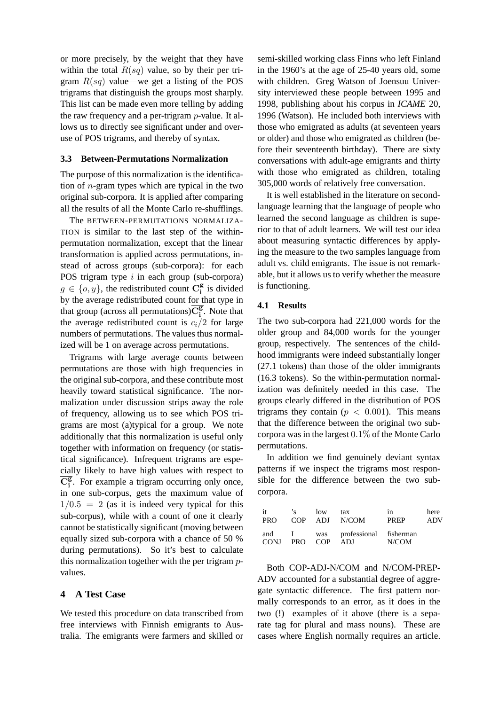or more precisely, by the weight that they have within the total  $R(sq)$  value, so by their per trigram  $R(sq)$  value—we get a listing of the POS trigrams that distinguish the groups most sharply. This list can be made even more telling by adding the raw frequency and a per-trigram p-value. It allows us to directly see significant under and overuse of POS trigrams, and thereby of syntax.

#### **3.3 Between-Permutations Normalization**

The purpose of this normalization is the identification of  $n$ -gram types which are typical in the two original sub-corpora. It is applied after comparing all the results of all the Monte Carlo re-shufflings.

The BETWEEN-PERMUTATIONS NORMALIZA-TION is similar to the last step of the withinpermutation normalization, except that the linear transformation is applied across permutations, instead of across groups (sub-corpora): for each POS trigram type  $i$  in each group (sub-corpora)  $g \in \{o, y\}$ , the redistributed count  $\mathbf{C}_i^{\mathbf{g}}$  $\frac{g}{i}$  is divided by the average redistributed count for that type in that group (across all permutations) $\overline{C_i^g}$  $\frac{g}{i}$ . Note that the average redistributed count is  $c_i/2$  for large numbers of permutations. The values thus normalized will be 1 on average across permutations.

Trigrams with large average counts between permutations are those with high frequencies in the original sub-corpora, and these contribute most heavily toward statistical significance. The normalization under discussion strips away the role of frequency, allowing us to see which POS trigrams are most (a)typical for a group. We note additionally that this normalization is useful only together with information on frequency (or statistical significance). Infrequent trigrams are especially likely to have high values with respect to  $\overline{\mathrm{C}_i^{\mathrm{g}}}$  $\frac{g}{i}$ . For example a trigram occurring only once, in one sub-corpus, gets the maximum value of  $1/0.5 = 2$  (as it is indeed very typical for this sub-corpus), while with a count of one it clearly cannot be statistically significant (moving between equally sized sub-corpora with a chance of 50 % during permutations). So it's best to calculate this normalization together with the per trigram pvalues.

#### **4 A Test Case**

We tested this procedure on data transcribed from free interviews with Finnish emigrants to Australia. The emigrants were farmers and skilled or semi-skilled working class Finns who left Finland in the 1960's at the age of 25-40 years old, some with children. Greg Watson of Joensuu University interviewed these people between 1995 and 1998, publishing about his corpus in *ICAME* 20, 1996 (Watson). He included both interviews with those who emigrated as adults (at seventeen years or older) and those who emigrated as children (before their seventeenth birthday). There are sixty conversations with adult-age emigrants and thirty with those who emigrated as children, totaling 305,000 words of relatively free conversation.

It is well established in the literature on secondlanguage learning that the language of people who learned the second language as children is superior to that of adult learners. We will test our idea about measuring syntactic differences by applying the measure to the two samples language from adult vs. child emigrants. The issue is not remarkable, but it allows us to verify whether the measure is functioning.

### **4.1 Results**

The two sub-corpora had 221,000 words for the older group and 84,000 words for the younger group, respectively. The sentences of the childhood immigrants were indeed substantially longer (27.1 tokens) than those of the older immigrants (16.3 tokens). So the within-permutation normalization was definitely needed in this case. The groups clearly differed in the distribution of POS trigrams they contain ( $p < 0.001$ ). This means that the difference between the original two subcorpora was in the largest 0.1% of the Monte Carlo permutations.

In addition we find genuinely deviant syntax patterns if we inspect the trigrams most responsible for the difference between the two subcorpora.

| $\mathbf{H}$<br><b>PRO</b> | $\mathbf{r}$ | $\log$ | tax<br>COP ADJ N/COM                     | in<br><b>PREP</b> | here<br>ADV |
|----------------------------|--------------|--------|------------------------------------------|-------------------|-------------|
| CONJ PRO COP               |              |        | and I was professional fisherman<br>ADJ. | N/COM             |             |

Both COP-ADJ-N/COM and N/COM-PREP-ADV accounted for a substantial degree of aggregate syntactic difference. The first pattern normally corresponds to an error, as it does in the two (!) examples of it above (there is a separate tag for plural and mass nouns). These are cases where English normally requires an article.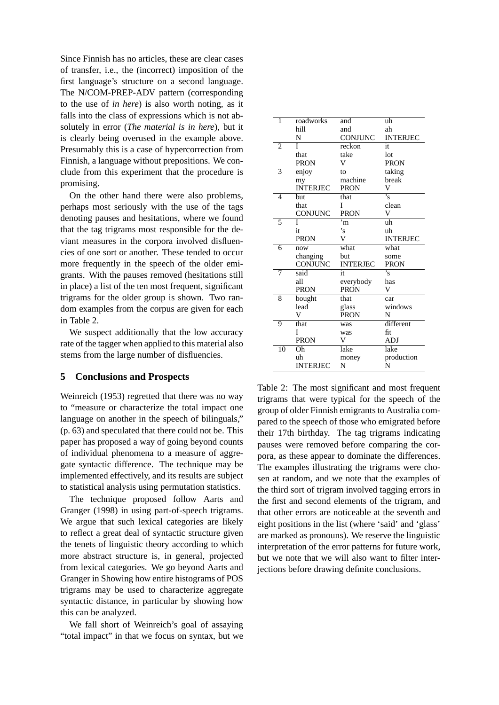Since Finnish has no articles, these are clear cases of transfer, i.e., the (incorrect) imposition of the first language's structure on a second language. The N/COM-PREP-ADV pattern (corresponding to the use of *in here*) is also worth noting, as it falls into the class of expressions which is not absolutely in error (*The material is in here*), but it is clearly being overused in the example above. Presumably this is a case of hypercorrection from Finnish, a language without prepositions. We conclude from this experiment that the procedure is promising.

On the other hand there were also problems, perhaps most seriously with the use of the tags denoting pauses and hesitations, where we found that the tag trigrams most responsible for the deviant measures in the corpora involved disfluencies of one sort or another. These tended to occur more frequently in the speech of the older emigrants. With the pauses removed (hesitations still in place) a list of the ten most frequent, significant trigrams for the older group is shown. Two random examples from the corpus are given for each in Table 2.

We suspect additionally that the low accuracy rate of the tagger when applied to this material also stems from the large number of disfluencies.

### **5 Conclusions and Prospects**

Weinreich (1953) regretted that there was no way to "measure or characterize the total impact one language on another in the speech of bilinguals," (p. 63) and speculated that there could not be. This paper has proposed a way of going beyond counts of individual phenomena to a measure of aggregate syntactic difference. The technique may be implemented effectively, and its results are subject to statistical analysis using permutation statistics.

The technique proposed follow Aarts and Granger (1998) in using part-of-speech trigrams. We argue that such lexical categories are likely to reflect a great deal of syntactic structure given the tenets of linguistic theory according to which more abstract structure is, in general, projected from lexical categories. We go beyond Aarts and Granger in Showing how entire histograms of POS trigrams may be used to characterize aggregate syntactic distance, in particular by showing how this can be analyzed.

We fall short of Weinreich's goal of assaying "total impact" in that we focus on syntax, but we

| 1              | roadworks       | and             | uh                      |
|----------------|-----------------|-----------------|-------------------------|
|                | hill            | and             | ah                      |
|                | N               | <b>CONJUNC</b>  | <b>INTERJEC</b>         |
| 2              | Ī               | reckon          | it                      |
|                | that            | take            | lot                     |
|                | <b>PRON</b>     | V               | <b>PRON</b>             |
| 3              | enjoy           | to              | taking                  |
|                | my              | machine         | break                   |
|                | <b>INTERJEC</b> | <b>PRON</b>     | V                       |
| $\overline{4}$ | but             | that            | $\overline{\mathbf{s}}$ |
|                | that            | I               | clean                   |
|                | CONJUNC         | <b>PRON</b>     | V                       |
| 5              | T               | $\overline{m}$  | uh                      |
|                | it              | $\cdot_{\rm s}$ | uh                      |
|                | <b>PRON</b>     | V               | <b>INTERJEC</b>         |
| 6              | now             | what            | what                    |
|                | changing        | but             | some                    |
|                | CONJUNC         | <b>INTERJEC</b> | <b>PRON</b>             |
| 7              | said            | it              | 's                      |
|                | all             | everybody       | has                     |
|                | <b>PRON</b>     | <b>PRON</b>     | V                       |
| 8              | bought          | that            | car                     |
|                | lead            | glass           | windows                 |
|                | V               | <b>PRON</b>     | N                       |
| 9              | that            | was             | different               |
|                | I               | was             | fit                     |
|                | <b>PRON</b>     | V               | ADJ                     |
| 10             | Oh              | lake            | lake                    |
|                | uh              | money           | production              |
|                |                 |                 |                         |

Table 2: The most significant and most frequent trigrams that were typical for the speech of the group of older Finnish emigrants to Australia compared to the speech of those who emigrated before their 17th birthday. The tag trigrams indicating pauses were removed before comparing the corpora, as these appear to dominate the differences. The examples illustrating the trigrams were chosen at random, and we note that the examples of the third sort of trigram involved tagging errors in the first and second elements of the trigram, and that other errors are noticeable at the seventh and eight positions in the list (where 'said' and 'glass' are marked as pronouns). We reserve the linguistic interpretation of the error patterns for future work, but we note that we will also want to filter interjections before drawing definite conclusions.